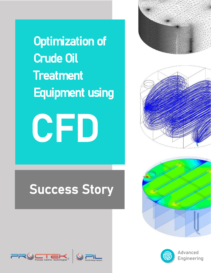Optimization of Crude Oil **Treatment** Equipment using



# Success Story









Advanced Engineering



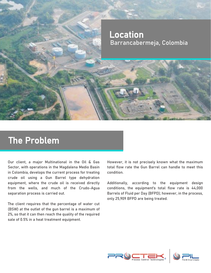

### The Problem

Our client, a major Multinational in the Oil & Gas Sector, with operations in the Magdalena Medio Basin in Colombia, develops the current process for treating crude oil using a Gun Barrel type dehydration equipment, where the crude oil is received directly from the wells, and much of the Crudo-Agua separation process is carried out.

The client requires that the percentage of water cut (BSW) at the outlet of the gun barrel is a maximum of 2%, so that it can then reach the quality of the required sale of 0.5% in a heat treatment equipment.

However, it is not precisely known what the maximum total flow rate the Gun Barrel can handle to meet this condition.

Additionally, according to the equipment design conditions, the equipment's total flow rate is 44,000 Barrels of Fluid per Day (BFPD); however, in the process, only 25,909 BFPD are being treated.